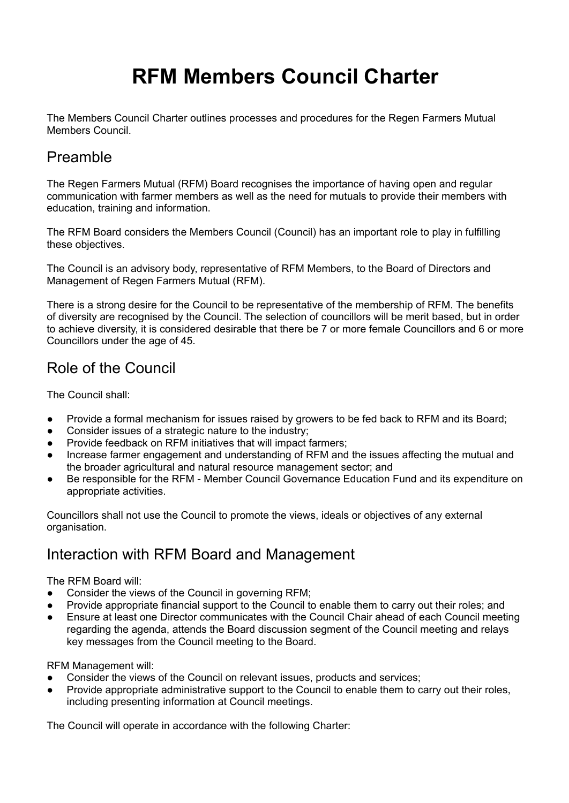# **RFM Members Council Charter**

The Members Council Charter outlines processes and procedures for the Regen Farmers Mutual Members Council.

#### Preamble

The Regen Farmers Mutual (RFM) Board recognises the importance of having open and regular communication with farmer members as well as the need for mutuals to provide their members with education, training and information.

The RFM Board considers the Members Council (Council) has an important role to play in fulfilling these objectives.

The Council is an advisory body, representative of RFM Members, to the Board of Directors and Management of Regen Farmers Mutual (RFM).

There is a strong desire for the Council to be representative of the membership of RFM. The benefits of diversity are recognised by the Council. The selection of councillors will be merit based, but in order to achieve diversity, it is considered desirable that there be 7 or more female Councillors and 6 or more Councillors under the age of 45.

### Role of the Council

The Council shall:

- Provide a formal mechanism for issues raised by growers to be fed back to RFM and its Board;
- Consider issues of a strategic nature to the industry;
- Provide feedback on RFM initiatives that will impact farmers;
- Increase farmer engagement and understanding of RFM and the issues affecting the mutual and the broader agricultural and natural resource management sector; and
- Be responsible for the RFM Member Council Governance Education Fund and its expenditure on appropriate activities.

Councillors shall not use the Council to promote the views, ideals or objectives of any external organisation.

#### Interaction with RFM Board and Management

The RFM Board will:

- Consider the views of the Council in governing RFM;
- Provide appropriate financial support to the Council to enable them to carry out their roles; and
- Ensure at least one Director communicates with the Council Chair ahead of each Council meeting regarding the agenda, attends the Board discussion segment of the Council meeting and relays key messages from the Council meeting to the Board.

RFM Management will:

- Consider the views of the Council on relevant issues, products and services;
- Provide appropriate administrative support to the Council to enable them to carry out their roles, including presenting information at Council meetings.

The Council will operate in accordance with the following Charter: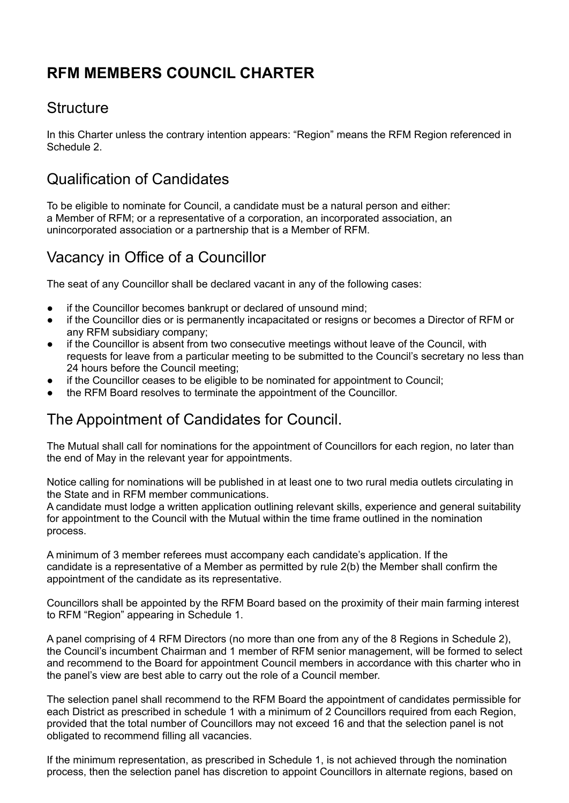# **RFM MEMBERS COUNCIL CHARTER**

#### **Structure**

In this Charter unless the contrary intention appears: "Region" means the RFM Region referenced in Schedule 2.

#### Qualification of Candidates

To be eligible to nominate for Council, a candidate must be a natural person and either: a Member of RFM; or a representative of a corporation, an incorporated association, an unincorporated association or a partnership that is a Member of RFM.

#### Vacancy in Office of a Councillor

The seat of any Councillor shall be declared vacant in any of the following cases:

- if the Councillor becomes bankrupt or declared of unsound mind;
- if the Councillor dies or is permanently incapacitated or resigns or becomes a Director of RFM or any RFM subsidiary company;
- if the Councillor is absent from two consecutive meetings without leave of the Council, with requests for leave from a particular meeting to be submitted to the Council's secretary no less than 24 hours before the Council meeting;
- if the Councillor ceases to be eligible to be nominated for appointment to Council;
- the RFM Board resolves to terminate the appointment of the Councillor.

#### The Appointment of Candidates for Council.

The Mutual shall call for nominations for the appointment of Councillors for each region, no later than the end of May in the relevant year for appointments.

Notice calling for nominations will be published in at least one to two rural media outlets circulating in the State and in RFM member communications.

A candidate must lodge a written application outlining relevant skills, experience and general suitability for appointment to the Council with the Mutual within the time frame outlined in the nomination process.

A minimum of 3 member referees must accompany each candidate's application. If the candidate is a representative of a Member as permitted by rule 2(b) the Member shall confirm the appointment of the candidate as its representative.

Councillors shall be appointed by the RFM Board based on the proximity of their main farming interest to RFM "Region" appearing in Schedule 1.

A panel comprising of 4 RFM Directors (no more than one from any of the 8 Regions in Schedule 2), the Council's incumbent Chairman and 1 member of RFM senior management, will be formed to select and recommend to the Board for appointment Council members in accordance with this charter who in the panel's view are best able to carry out the role of a Council member.

The selection panel shall recommend to the RFM Board the appointment of candidates permissible for each District as prescribed in schedule 1 with a minimum of 2 Councillors required from each Region, provided that the total number of Councillors may not exceed 16 and that the selection panel is not obligated to recommend filling all vacancies.

If the minimum representation, as prescribed in Schedule 1, is not achieved through the nomination process, then the selection panel has discretion to appoint Councillors in alternate regions, based on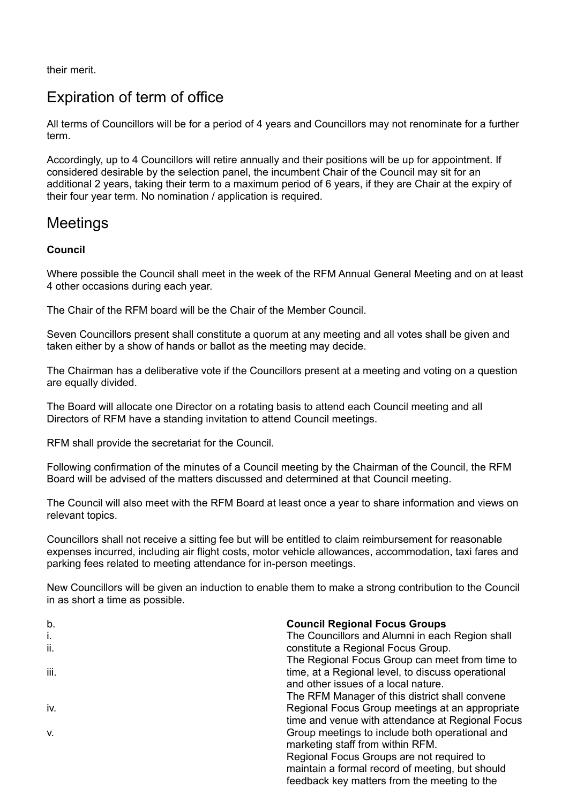their merit.

## Expiration of term of office

All terms of Councillors will be for a period of 4 years and Councillors may not renominate for a further term.

Accordingly, up to 4 Councillors will retire annually and their positions will be up for appointment. If considered desirable by the selection panel, the incumbent Chair of the Council may sit for an additional 2 years, taking their term to a maximum period of 6 years, if they are Chair at the expiry of their four year term. No nomination / application is required.

#### **Meetings**

#### **Council**

Where possible the Council shall meet in the week of the RFM Annual General Meeting and on at least 4 other occasions during each year.

The Chair of the RFM board will be the Chair of the Member Council.

Seven Councillors present shall constitute a quorum at any meeting and all votes shall be given and taken either by a show of hands or ballot as the meeting may decide.

The Chairman has a deliberative vote if the Councillors present at a meeting and voting on a question are equally divided.

The Board will allocate one Director on a rotating basis to attend each Council meeting and all Directors of RFM have a standing invitation to attend Council meetings.

RFM shall provide the secretariat for the Council.

Following confirmation of the minutes of a Council meeting by the Chairman of the Council, the RFM Board will be advised of the matters discussed and determined at that Council meeting.

The Council will also meet with the RFM Board at least once a year to share information and views on relevant topics.

Councillors shall not receive a sitting fee but will be entitled to claim reimbursement for reasonable expenses incurred, including air flight costs, motor vehicle allowances, accommodation, taxi fares and parking fees related to meeting attendance for in-person meetings.

New Councillors will be given an induction to enable them to make a strong contribution to the Council in as short a time as possible.

| b.   | <b>Council Regional Focus Groups</b>              |
|------|---------------------------------------------------|
| i.   | The Councillors and Alumni in each Region shall   |
| ii.  | constitute a Regional Focus Group.                |
|      | The Regional Focus Group can meet from time to    |
| iii. | time, at a Regional level, to discuss operational |
|      | and other issues of a local nature.               |
|      | The RFM Manager of this district shall convene    |
| iv.  | Regional Focus Group meetings at an appropriate   |
|      | time and venue with attendance at Regional Focus  |
| V.   | Group meetings to include both operational and    |
|      | marketing staff from within RFM.                  |
|      | Regional Focus Groups are not required to         |
|      | maintain a formal record of meeting, but should   |
|      | feedback key matters from the meeting to the      |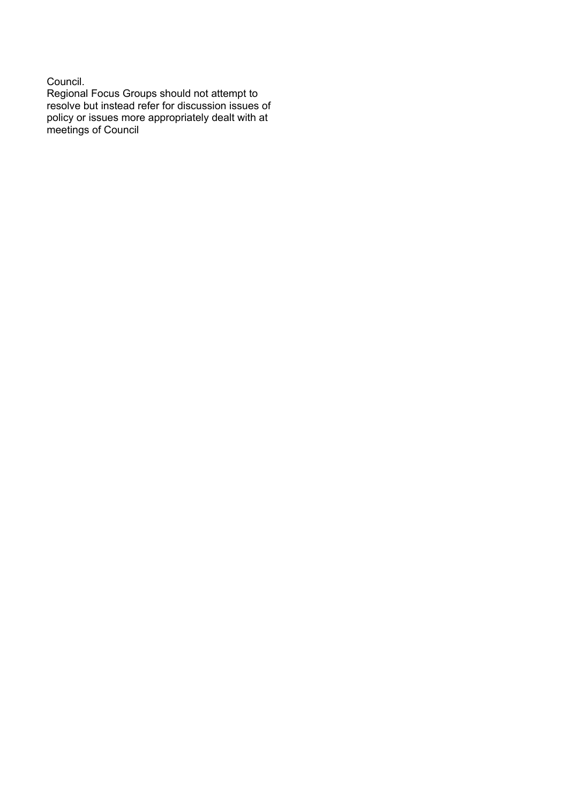#### Council.

Regional Focus Groups should not attempt to resolve but instead refer for discussion issues of policy or issues more appropriately dealt with at meetings of Council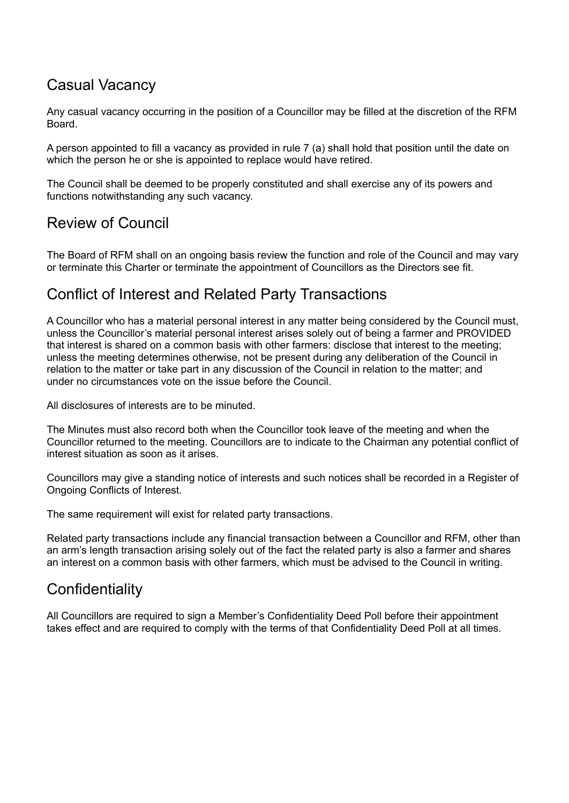### Casual Vacancy

Any casual vacancy occurring in the position of a Councillor may be filled at the discretion of the RFM Board.

A person appointed to fill a vacancy as provided in rule 7 (a) shall hold that position until the date on which the person he or she is appointed to replace would have retired.

The Council shall be deemed to be properly constituted and shall exercise any of its powers and functions notwithstanding any such vacancy.

### Review of Council

The Board of RFM shall on an ongoing basis review the function and role of the Council and may vary or terminate this Charter or terminate the appointment of Councillors as the Directors see fit.

#### Conflict of Interest and Related Party Transactions

A Councillor who has a material personal interest in any matter being considered by the Council must, unless the Councillor's material personal interest arises solely out of being a farmer and PROVIDED that interest is shared on a common basis with other farmers: disclose that interest to the meeting; unless the meeting determines otherwise, not be present during any deliberation of the Council in relation to the matter or take part in any discussion of the Council in relation to the matter; and under no circumstances vote on the issue before the Council.

All disclosures of interests are to be minuted.

The Minutes must also record both when the Councillor took leave of the meeting and when the Councillor returned to the meeting. Councillors are to indicate to the Chairman any potential conflict of interest situation as soon as it arises.

Councillors may give a standing notice of interests and such notices shall be recorded in a Register of Ongoing Conflicts of Interest.

The same requirement will exist for related party transactions.

Related party transactions include any financial transaction between a Councillor and RFM, other than an arm's length transaction arising solely out of the fact the related party is also a farmer and shares an interest on a common basis with other farmers, which must be advised to the Council in writing.

### **Confidentiality**

All Councillors are required to sign a Member's Confidentiality Deed Poll before their appointment takes effect and are required to comply with the terms of that Confidentiality Deed Poll at all times.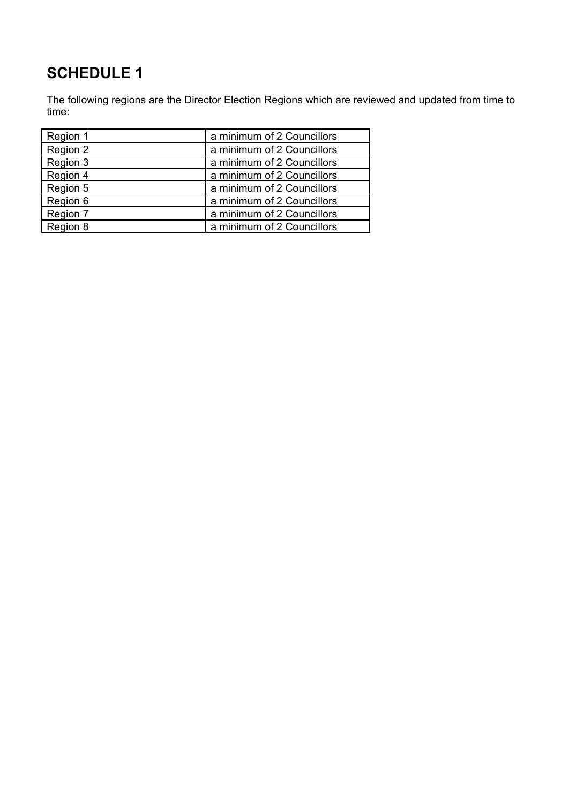# **SCHEDULE 1**

The following regions are the Director Election Regions which are reviewed and updated from time to time:

| Region 1 | a minimum of 2 Councillors |
|----------|----------------------------|
| Region 2 | a minimum of 2 Councillors |
| Region 3 | a minimum of 2 Councillors |
| Region 4 | a minimum of 2 Councillors |
| Region 5 | a minimum of 2 Councillors |
| Region 6 | a minimum of 2 Councillors |
| Region 7 | a minimum of 2 Councillors |
| Region 8 | a minimum of 2 Councillors |